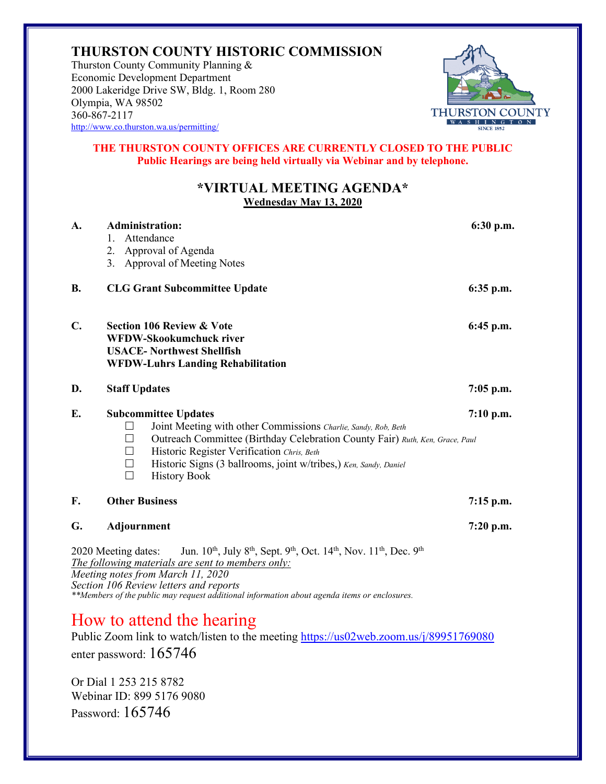## **THURSTON COUNTY HISTORIC COMMISSION**

Thurston County Community Planning & Economic Development Department 2000 Lakeridge Drive SW, Bldg. 1, Room 280 Olympia, WA 98502 360-867-2117 <http://www.co.thurston.wa.us/permitting/>



## **THE THURSTON COUNTY OFFICES ARE CURRENTLY CLOSED TO THE PUBLIC Public Hearings are being held virtually via Webinar and by telephone.**

## **\*VIRTUAL MEETING AGENDA\* Wednesday May 13, 2020**

| A.                                                                                                                                                                                                                                                           | <b>Administration:</b><br>Attendance<br>$1_{-}$<br>2. Approval of Agenda<br>3. Approval of Meeting Notes                                                                                                                                                                                                                                    | 6:30 p.m.   |
|--------------------------------------------------------------------------------------------------------------------------------------------------------------------------------------------------------------------------------------------------------------|---------------------------------------------------------------------------------------------------------------------------------------------------------------------------------------------------------------------------------------------------------------------------------------------------------------------------------------------|-------------|
| <b>B.</b>                                                                                                                                                                                                                                                    | <b>CLG Grant Subcommittee Update</b>                                                                                                                                                                                                                                                                                                        | $6:35$ p.m. |
| $\mathbf{C}$ .                                                                                                                                                                                                                                               | <b>Section 106 Review &amp; Vote</b><br><b>WFDW-Skookumchuck river</b><br><b>USACE- Northwest Shellfish</b><br><b>WFDW-Luhrs Landing Rehabilitation</b>                                                                                                                                                                                     | $6:45$ p.m. |
| D.                                                                                                                                                                                                                                                           | <b>Staff Updates</b>                                                                                                                                                                                                                                                                                                                        | $7:05$ p.m. |
| E.                                                                                                                                                                                                                                                           | <b>Subcommittee Updates</b><br>Joint Meeting with other Commissions Charlie, Sandy, Rob, Beth<br>Outreach Committee (Birthday Celebration County Fair) Ruth, Ken, Grace, Paul<br>Historic Register Verification Chris, Beth<br>Historic Signs (3 ballrooms, joint w/tribes,) Ken, Sandy, Daniel<br>$\perp$<br><b>History Book</b><br>$\Box$ | $7:10$ p.m. |
| F.                                                                                                                                                                                                                                                           | <b>Other Business</b>                                                                                                                                                                                                                                                                                                                       | $7:15$ p.m. |
| G.                                                                                                                                                                                                                                                           | Adjournment                                                                                                                                                                                                                                                                                                                                 | $7:20$ p.m. |
| Jun. 10 <sup>th</sup> , July 8 <sup>th</sup> , Sept. 9 <sup>th</sup> , Oct. 14 <sup>th</sup> , Nov. 11 <sup>th</sup> , Dec. 9 <sup>th</sup><br>2020 Meeting dates:<br>The following materials are sent to members only:<br>Mosting notes from March 11, 2020 |                                                                                                                                                                                                                                                                                                                                             |             |

*Meeting notes from March 11, 2020 Section 106 Review letters and reports \*\*Members of the public may request additional information about agenda items or enclosures.*

## How to attend the hearing

Public Zoom link to watch/listen to the meeting<https://us02web.zoom.us/j/89951769080> enter password: 165746

Or Dial 1 253 215 8782 Webinar ID: 899 5176 9080 Password: 165746